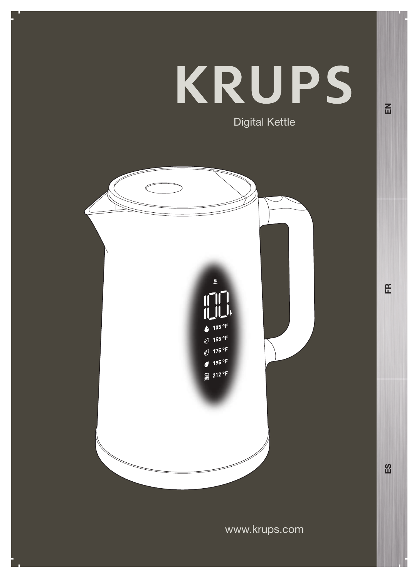# **KRUPS** Digital Kettle

 $\underline{m}$  $105 °F$  $\emptyset$  155 °F  $\sigma$  175 °F  $4^{195}$  <sup>o</sup>F  $212 °F$   $E$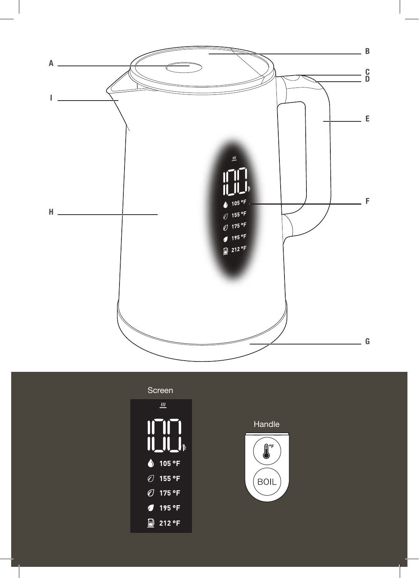



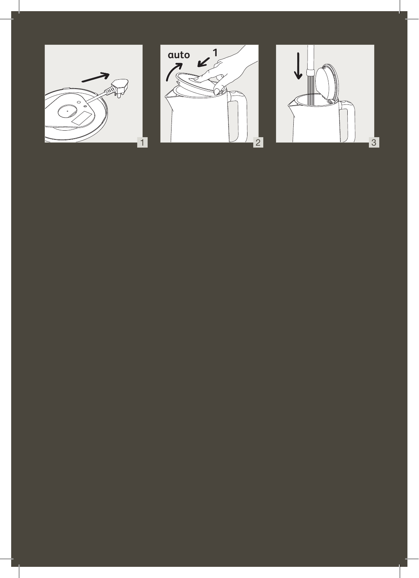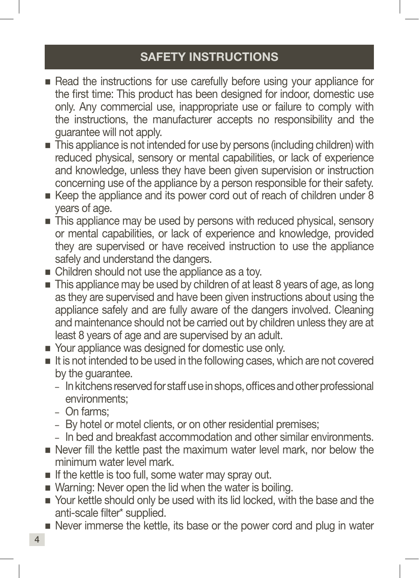# SAFETY INSTRUCTIONS

- Read the instructions for use carefully before using your appliance for the first time: This product has been designed for indoor, domestic use only. Any commercial use, inappropriate use or failure to comply with the instructions, the manufacturer accepts no responsibility and the guarantee will not apply.
- This appliance is not intended for use by persons (including children) with reduced physical, sensory or mental capabilities, or lack of experience and knowledge, unless they have been given supervision or instruction concerning use of the appliance by a person responsible for their safety.
- Keep the appliance and its power cord out of reach of children under 8 years of age.
- This appliance may be used by persons with reduced physical, sensory or mental capabilities, or lack of experience and knowledge, provided they are supervised or have received instruction to use the appliance safely and understand the dangers.
- Children should not use the appliance as a toy.
- This appliance may be used by children of at least 8 years of age, as long as they are supervised and have been given instructions about using the appliance safely and are fully aware of the dangers involved. Cleaning and maintenance should not be carried out by children unless they are at least 8 years of age and are supervised by an adult.
- Your appliance was designed for domestic use only.
- It is not intended to be used in the following cases, which are not covered by the guarantee.
	- In kitchens reserved for staff use in shops, offices and other professional environments;
	- On farms;
	- By hotel or motel clients, or on other residential premises;
	- In bed and breakfast accommodation and other similar environments.
- Never fill the kettle past the maximum water level mark, nor below the minimum water level mark.
- $\blacksquare$  If the kettle is too full, some water may spray out.
- Warning: Never open the lid when the water is boiling.
- Your kettle should only be used with its lid locked, with the base and the anti-scale filter\* supplied.
- Never immerse the kettle, its base or the power cord and plug in water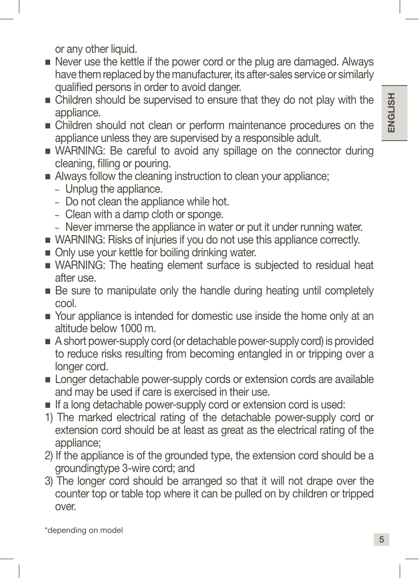or any other liquid.

- Never use the kettle if the power cord or the plug are damaged. Always have them replaced by the manufacturer, its after-sales service or similarly qualified persons in order to avoid danger.
- Children should be supervised to ensure that they do not play with the appliance.
- Children should not clean or perform maintenance procedures on the appliance unless they are supervised by a responsible adult.
- WARNING: Be careful to avoid any spillage on the connector during cleaning, filling or pouring.
- Always follow the cleaning instruction to clean your appliance;
	- Unplug the appliance.
	- Do not clean the appliance while hot.
	- Clean with a damp cloth or sponge.
	- Never immerse the appliance in water or put it under running water.
- WARNING: Risks of injuries if you do not use this appliance correctly.
- Only use your kettle for boiling drinking water.
- WARNING: The heating element surface is subjected to residual heat after use.
- Be sure to manipulate only the handle during heating until completely cool.
- Your appliance is intended for domestic use inside the home only at an altitude below 1000 m.
- A short power-supply cord (or detachable power-supply cord) is provided to reduce risks resulting from becoming entangled in or tripping over a longer cord.
- **Longer detachable power-supply cords or extension cords are available** and may be used if care is exercised in their use.
- If a long detachable power-supply cord or extension cord is used:
- 1) The marked electrical rating of the detachable power-supply cord or extension cord should be at least as great as the electrical rating of the appliance;
- 2) If the appliance is of the grounded type, the extension cord should be a groundingtype 3-wire cord; and
- 3) The longer cord should be arranged so that it will not drape over the counter top or table top where it can be pulled on by children or tripped over.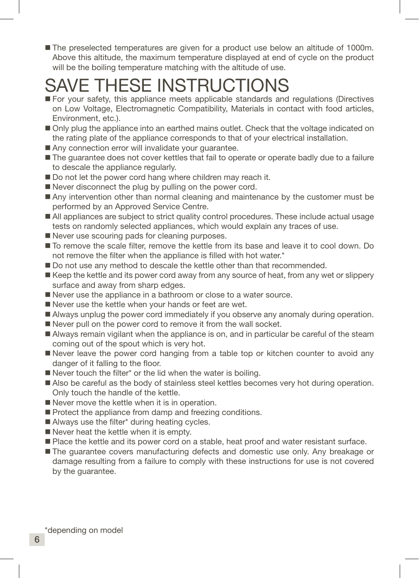The preselected temperatures are given for a product use below an altitude of 1000m. Above this altitude, the maximum temperature displayed at end of cycle on the product will be the boiling temperature matching with the altitude of use.

# SAVE THESE INSTRUCTIONS

- For your safety, this appliance meets applicable standards and regulations (Directives on Low Voltage, Electromagnetic Compatibility, Materials in contact with food articles, Environment, etc.).
- Only plug the appliance into an earthed mains outlet. Check that the voltage indicated on the rating plate of the appliance corresponds to that of your electrical installation.
- Any connection error will invalidate your quarantee.
- The quarantee does not cover kettles that fail to operate or operate badly due to a failure to descale the appliance regularly.
- Do not let the power cord hang where children may reach it.
- Never disconnect the plug by pulling on the power cord.
- Any intervention other than normal cleaning and maintenance by the customer must be performed by an Approved Service Centre.
- All appliances are subject to strict quality control procedures. These include actual usage tests on randomly selected appliances, which would explain any traces of use.
- Never use scouring pads for cleaning purposes.
- To remove the scale filter, remove the kettle from its base and leave it to cool down. Do not remove the filter when the appliance is filled with hot water.\*
- Do not use any method to descale the kettle other than that recommended.
- Keep the kettle and its power cord away from any source of heat, from any wet or slippery surface and away from sharp edges.
- Never use the appliance in a bathroom or close to a water source.
- Never use the kettle when your hands or feet are wet.
- Always unplug the power cord immediately if you observe any anomaly during operation.
- Never pull on the power cord to remove it from the wall socket.
- Always remain vigilant when the appliance is on, and in particular be careful of the steam coming out of the spout which is very hot.
- Never leave the power cord hanging from a table top or kitchen counter to avoid any danger of it falling to the floor.
- Never touch the filter\* or the lid when the water is boiling.
- Also be careful as the body of stainless steel kettles becomes very hot during operation. Only touch the handle of the kettle.
- Never move the kettle when it is in operation.
- Protect the appliance from damp and freezing conditions.
- Always use the filter\* during heating cycles.
- Never heat the kettle when it is empty.
- **Place the kettle and its power cord on a stable, heat proof and water resistant surface.**
- The guarantee covers manufacturing defects and domestic use only. Any breakage or damage resulting from a failure to comply with these instructions for use is not covered by the guarantee.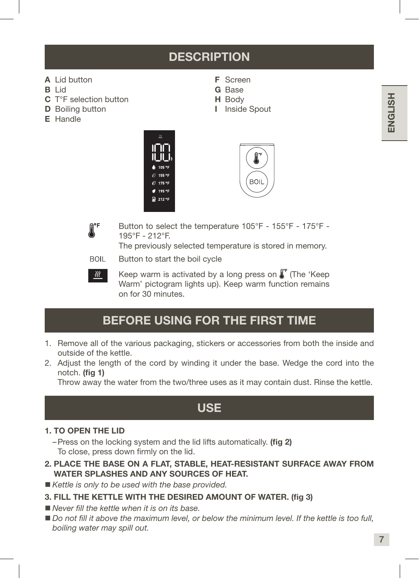# **DESCRIPTION**

F Screen G Base H Body I Inside Spout

- A Lid button
- B Lid
- C T°F selection button
- **D** Boiling button
- E Handle







रेश

Button to select the temperature 105°F - 155°F - 175°F - 195°F - 212°F.

The previously selected temperature is stored in memory.

**BOIL** Button to start the boil cycle

> Keep warm is activated by a long press on  $\int_{a}^{b}$  (The 'Keep Warm' pictogram lights up). Keep warm function remains on for 30 minutes.

# BEFORE USING FOR THE FIRST TIME

- 1. Remove all of the various packaging, stickers or accessories from both the inside and outside of the kettle.
- 2. Adjust the length of the cord by winding it under the base. Wedge the cord into the notch. (fig 1)

Throw away the water from the two/three uses as it may contain dust. Rinse the kettle.

# USE

#### 1. TO OPEN THE LID

–Press on the locking system and the lid lifts automatically. (fig 2) To close, press down firmly on the lid.

- 2. PLACE THE BASE ON A FLAT, STABLE, HEAT-RESISTANT SURFACE AWAY FROM WATER SPLASHES AND ANY SOURCES OF HEAT.
- *Kettle is only to be used with the base provided.*
- 3. FILL THE KETTLE WITH THE DESIRED AMOUNT OF WATER. (fig 3)
- *Never fill the kettle when it is on its base.*
- *Do not fill it above the maximum level, or below the minimum level. If the kettle is too full, boiling water may spill out.*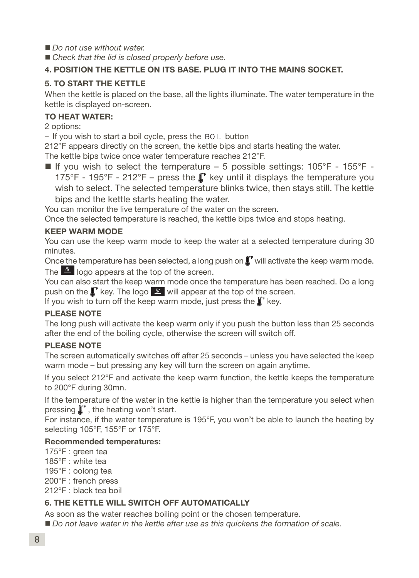- *Do not use without water.*
- *Check that the lid is closed properly before use.*

#### 4. POSITION THE KETTLE ON ITS BASE. PLUG IT INTO THE MAINS SOCKET.

#### 5. TO START THE KETTLE

When the kettle is placed on the base, all the lights illuminate. The water temperature in the kettle is displayed on-screen.

#### TO HEAT WATER:

2 options:

– If you wish to start a boil cycle, press the button

212°F appears directly on the screen, the kettle bips and starts heating the water.

The kettle bips twice once water temperature reaches 212°F.

If you wish to select the temperature – 5 possible settings:  $105^{\circ}F - 155^{\circ}F$  -175°F - 195°F - 212°F – press the  $\int_0^{\infty}$  key until it displays the temperature you wish to select. The selected temperature blinks twice, then stays still. The kettle bips and the kettle starts heating the water.

You can monitor the live temperature of the water on the screen.

Once the selected temperature is reached, the kettle bips twice and stops heating.

#### KEEP WARM MODE

You can use the keep warm mode to keep the water at a selected temperature during 30 minutes.

Once the temperature has been selected, a long push on  $\int_{a}^{b}$  will activate the keep warm mode.

The  $\frac{1}{2}$  logo appears at the top of the screen.

You can also start the keep warm mode once the temperature has been reached. Do a long push on the  $\int_{\alpha}^{\infty}$  key. The logo  $\frac{1}{\alpha}$  will appear at the top of the screen.

If you wish to turn off the keep warm mode, just press the  $\int_{\alpha}^{\alpha}$  key.

#### PLEASE NOTE

The long push will activate the keep warm only if you push the button less than 25 seconds after the end of the boiling cycle, otherwise the screen will switch off.

#### PLEASE NOTE

The screen automatically switches off after 25 seconds – unless you have selected the keep warm mode – but pressing any key will turn the screen on again anytime.

If you select 212°F and activate the keep warm function, the kettle keeps the temperature to 200°F during 30mn.

If the temperature of the water in the kettle is higher than the temperature you select when pressing  $\int_{r}^{r}$ , the heating won't start.

For instance, if the water temperature is 195°F, you won't be able to launch the heating by selecting 105°F, 155°F or 175°F.

#### Recommended temperatures:

- 175°F : green tea
- 185°F : white tea
- 195°F : oolong tea

200°F : french press

212°F : black tea boil

#### 6. THE KETTLE WILL SWITCH OFF AUTOMATICALLY

As soon as the water reaches boiling point or the chosen temperature.

*Do not leave water in the kettle after use as this quickens the formation of scale.*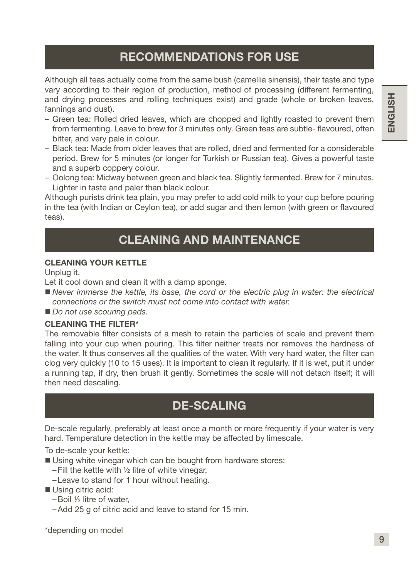# RECOMMENDATIONS FOR USE

Although all teas actually come from the same bush (camellia sinensis), their taste and type vary according to their region of production, method of processing (different fermenting, and drying processes and rolling techniques exist) and grade (whole or broken leaves, fannings and dust).

- Green tea: Rolled dried leaves, which are chopped and lightly roasted to prevent them from fermenting. Leave to brew for 3 minutes only. Green teas are subtle- flavoured, often bitter, and very pale in colour.
- Black tea: Made from older leaves that are rolled, dried and fermented for a considerable period. Brew for 5 minutes (or longer for Turkish or Russian tea). Gives a powerful taste and a superb coppery colour.
- Oolong tea: Midway between green and black tea. Slightly fermented. Brew for 7 minutes. Lighter in taste and paler than black colour.

Although purists drink tea plain, you may prefer to add cold milk to your cup before pouring in the tea (with Indian or Ceylon tea), or add sugar and then lemon (with green or flavoured teas).

# CI FANING AND MAINTFNANCF

#### CLEANING YOUR KETTLE

Unplug it.

Let it cool down and clean it with a damp sponge.

- Never immerse the kettle, its base, the cord or the electric plug in water: the electrical *connections or the switch must not come into contact with water.*
- *Do not use scouring pads.*

#### CLEANING THE FILTER\*

The removable filter consists of a mesh to retain the particles of scale and prevent them falling into your cup when pouring. This filter neither treats nor removes the hardness of the water. It thus conserves all the qualities of the water. With very hard water, the filter can clog very quickly (10 to 15 uses). It is important to clean it regularly. If it is wet, put it under a running tap, if dry, then brush it gently. Sometimes the scale will not detach itself; it will then need descaling.

# DE-SCALING

De-scale regularly, preferably at least once a month or more frequently if your water is very hard. Temperature detection in the kettle may be affected by limescale.

To de-scale your kettle:

- Using white vinegar which can be bought from hardware stores:
	- $-$  Fill the kettle with  $\frac{1}{2}$  litre of white vinegar,
	- –Leave to stand for 1 hour without heating.

#### Using citric acid:

- –Boil ½ litre of water,
- –Add 25 g of citric acid and leave to stand for 15 min.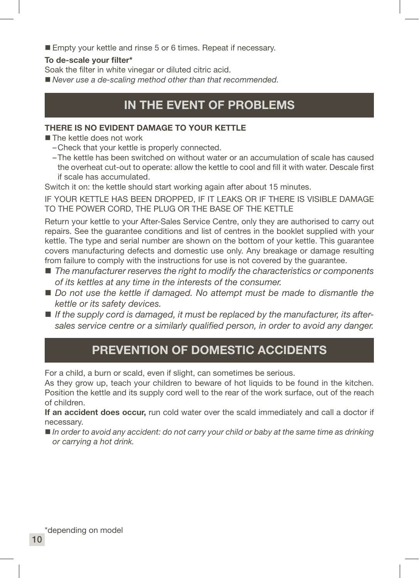**Empty your kettle and rinse 5 or 6 times. Repeat if necessary.** 

#### To de-scale your filter\*

Soak the filter in white vinegar or diluted citric acid.

*Never use a de-scaling method other than that recommended.*

# IN THE EVENT OF PROBLEMS

#### THERE IS NO EVIDENT DAMAGE TO YOUR KETTLE

The kettle does not work

- –Check that your kettle is properly connected.
- –The kettle has been switched on without water or an accumulation of scale has caused the overheat cut-out to operate: allow the kettle to cool and fill it with water. Descale first if scale has accumulated.

Switch it on: the kettle should start working again after about 15 minutes.

IF YOUR KETTLE HAS BEEN DROPPED, IF IT LEAKS OR IF THERE IS VISIBLE DAMAGE TO THE POWER CORD, THE PLUG OR THE BASE OF THE KETTLE

Return your kettle to your After-Sales Service Centre, only they are authorised to carry out repairs. See the guarantee conditions and list of centres in the booklet supplied with your kettle. The type and serial number are shown on the bottom of your kettle. This guarantee covers manufacturing defects and domestic use only. Any breakage or damage resulting from failure to comply with the instructions for use is not covered by the guarantee.

- *The manufacturer reserves the right to modify the characteristics or components of its kettles at any time in the interests of the consumer.*
- *Do not use the kettle if damaged. No attempt must be made to dismantle the kettle or its safety devices.*
- If the supply cord is damaged, it must be replaced by the manufacturer, its after*sales service centre or a similarly qualified person, in order to avoid any danger.*

# PREVENTION OF DOMESTIC ACCIDENTS

For a child, a burn or scald, even if slight, can sometimes be serious.

As they grow up, teach your children to beware of hot liquids to be found in the kitchen. Position the kettle and its supply cord well to the rear of the work surface, out of the reach of children.

If an accident does occur, run cold water over the scald immediately and call a doctor if necessary.

■ *In order to avoid any accident: do not carry your child or baby at the same time as drinking or carrying a hot drink.*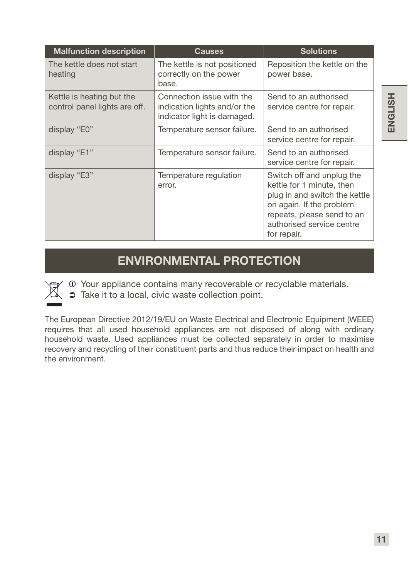| <b>Malfunction description</b>                             | <b>Causes</b>                                                                            | <b>Solutions</b>                                                                                                                                                                              |
|------------------------------------------------------------|------------------------------------------------------------------------------------------|-----------------------------------------------------------------------------------------------------------------------------------------------------------------------------------------------|
| The kettle does not start<br>heating                       | The kettle is not positioned<br>correctly on the power<br>base.                          | Reposition the kettle on the<br>power base.                                                                                                                                                   |
| Kettle is heating but the<br>control panel lights are off. | Connection issue with the<br>indication lights and/or the<br>indicator light is damaged. | Send to an authorised<br>service centre for repair.                                                                                                                                           |
| display "E0"                                               | Temperature sensor failure.                                                              | Send to an authorised<br>service centre for repair.                                                                                                                                           |
| display "E1"                                               | Temperature sensor failure.                                                              | Send to an authorised<br>service centre for repair.                                                                                                                                           |
| display "E3"                                               | Temperature regulation<br>error.                                                         | Switch off and unplug the<br>kettle for 1 minute, then<br>plug in and switch the kettle<br>on again. If the problem<br>repeats, please send to an<br>authorised service centre<br>for repair. |

# ENVIRONMENTAL PROTECTION

Your appliance contains many recoverable or recyclable materials.

 $\Rightarrow$  Take it to a local, civic waste collection point.

The European Directive 2012/19/EU on Waste Electrical and Electronic Equipment (WEEE) requires that all used household appliances are not disposed of along with ordinary household waste. Used appliances must be collected separately in order to maximise recovery and recycling of their constituent parts and thus reduce their impact on health and the environment.

ENGLISH

**ENGLISH**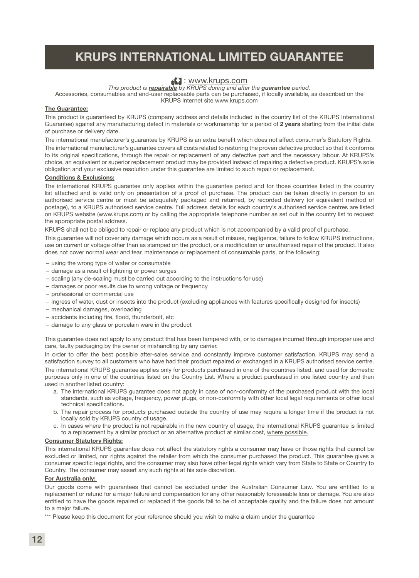# KRUPS INTERNATIONAL LIMITED GUARANTEE

#### **E.** : www.krups.com

*This product is repairable by KRUPS during and after the guarantee period.*

Accessories, consumables and end-user replaceable parts can be purchased, if locally available, as described on the KRUPS internet site www.krups.com

#### The Guarantee:

This product is guaranteed by KRUPS (company address and details included in the country list of the KRUPS International Guarantee) against any manufacturing defect in materials or workmanship for a period of 2 years starting from the initial date of purchase or delivery date.

The international manufacturer's guarantee by KRUPS is an extra benefit which does not affect consumer's Statutory Rights.

The international manufacturer's guarantee covers all costs related to restoring the proven defective product so that it conforms to its original specifications, through the repair or replacement of any defective part and the necessary labour. At KRUPS's choice, an equivalent or superior replacement product may be provided instead of repairing a defective product. KRUPS's sole obligation and your exclusive resolution under this guarantee are limited to such repair or replacement.

#### Conditions & Exclusions:

The international KRUPS guarantee only applies within the guarantee period and for those countries listed in the country list attached and is valid only on presentation of a proof of purchase. The product can be taken directly in person to an authorised service centre or must be adequately packaged and returned, by recorded delivery (or equivalent method of postage), to a KRUPS authorised service centre. Full address details for each country's authorised service centres are listed on KRUPS website (www.krups.com) or by calling the appropriate telephone number as set out in the country list to request the appropriate postal address.

KRUPS shall not be obliged to repair or replace any product which is not accompanied by a valid proof of purchase.

This guarantee will not cover any damage which occurs as a result of misuse, negligence, failure to follow KRUPS instructions, use on current or voltage other than as stamped on the product, or a modification or unauthorised repair of the product. It also does not cover normal wear and tear, maintenance or replacement of consumable parts, or the following:

- using the wrong type of water or consumable
- damage as a result of lightning or power surges
- scaling (any de-scaling must be carried out according to the instructions for use)
- damages or poor results due to wrong voltage or frequency
- professional or commercial use
- ingress of water, dust or insects into the product (excluding appliances with features specifically designed for insects)
- mechanical damages, overloading
- accidents including fire, flood, thunderbolt, etc
- damage to any glass or porcelain ware in the product

This guarantee does not apply to any product that has been tampered with, or to damages incurred through improper use and care, faulty packaging by the owner or mishandling by any carrier.

In order to offer the best possible after-sales service and constantly improve customer satisfaction, KRUPS may send a satisfaction survey to all customers who have had their product repaired or exchanged in a KRUPS authorised service centre. The international KRUPS guarantee applies only for products purchased in one of the countries listed, and used for domestic purposes only in one of the countries listed on the Country List. Where a product purchased in one listed country and then used in another listed country:

- a. The international KRUPS guarantee does not apply in case of non-conformity of the purchased product with the local standards, such as voltage, frequency, power plugs, or non-conformity with other local legal requirements or other local technical specifications.
- b. The repair process for products purchased outside the country of use may require a longer time if the product is not locally sold by KRUPS country of usage.
- c. In cases where the product is not repairable in the new country of usage, the international KRUPS guarantee is limited to a replacement by a similar product or an alternative product at similar cost, where possible.

#### Consumer Statutory Rights:

This international KRUPS guarantee does not affect the statutory rights a consumer may have or those rights that cannot be excluded or limited, nor rights against the retailer from which the consumer purchased the product. This guarantee gives a consumer specific legal rights, and the consumer may also have other legal rights which vary from State to State or Country to Country. The consumer may assert any such rights at his sole discretion.

#### For Australia only:

Our goods come with guarantees that cannot be excluded under the Australian Consumer Law. You are entitled to a replacement or refund for a major failure and compensation for any other reasonably foreseeable loss or damage. You are also entitled to have the goods repaired or replaced if the goods fail to be of acceptable quality and the failure does not amount to a major failure.

\*\*\* Please keep this document for your reference should you wish to make a claim under the guarantee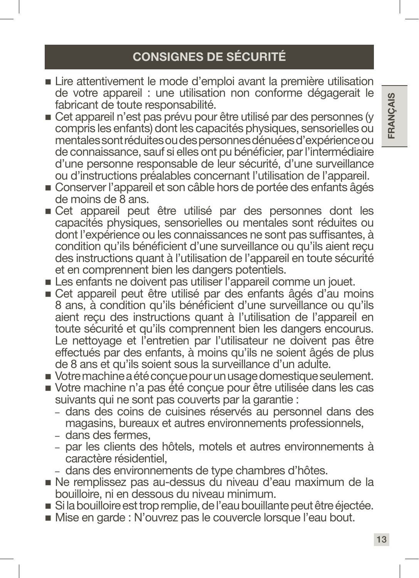# CONSIGNES DE SÉCURITÉ

- Lire attentivement le mode d'emploi avant la première utilisation de votre appareil : une utilisation non conforme dégagerait le fabricant de toute responsabilité.
- Cet appareil n'est pas prévu pour être utilisé par des personnes (y compris les enfants) dont les capacités physiques, sensorielles ou mentales sont réduites ou des personnes dénuées d'expérience ou de connaissance, sauf si elles ont pu bénéficier, par l'intermédiaire d'une personne responsable de leur sécurité, d'une surveillance ou d'instructions préalables concernant l'utilisation de l'appareil.
- Conserver l'appareil et son câble hors de portée des enfants âgés de moins de 8 ans.
- Cet appareil peut être utilisé par des personnes dont les capacités physiques, sensorielles ou mentales sont réduites ou dont l'expérience ou les connaissances ne sont pas suffisantes, à condition qu'ils bénéficient d'une surveillance ou qu'ils aient reçu des instructions quant à l'utilisation de l'appareil en toute sécurité et en comprennent bien les dangers potentiels.
- Les enfants ne doivent pas utiliser l'appareil comme un jouet.
- Cet appareil peut être utilisé par des enfants âgés d'au moins 8 ans, à condition qu'ils bénéficient d'une surveillance ou qu'ils aient reçu des instructions quant à l'utilisation de l'appareil en toute sécurité et qu'ils comprennent bien les dangers encourus. Le nettoyage et l'entretien par l'utilisateur ne doivent pas être effectués par des enfants, à moins qu'ils ne soient âgés de plus de 8 ans et qu'ils soient sous la surveillance d'un adulte.
- Votre machine a été conçue pour un usage domestique seulement.
- Votre machine n'a pas été conçue pour être utilisée dans les cas suivants qui ne sont pas couverts par la garantie :
	- dans des coins de cuisines réservés au personnel dans des magasins, bureaux et autres environnements professionnels,
	- dans des fermes,
	- par les clients des hôtels, motels et autres environnements à caractère résidentiel,
	- dans des environnements de type chambres d'hôtes.
- Ne remplissez pas au-dessus du niveau d'eau maximum de la bouilloire, ni en dessous du niveau minimum.
- Si la bouilloire est trop remplie, de l'eau bouillante peut être éjectée.
- Mise en garde : N'ouvrez pas le couvercle lorsque l'eau bout.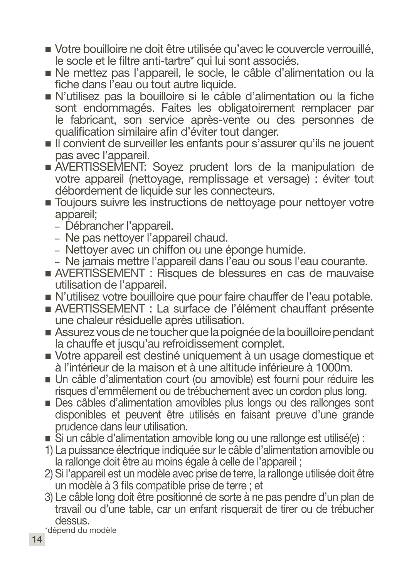- Votre bouilloire ne doit être utilisée qu'avec le couvercle verrouillé, le socle et le filtre anti-tartre\* qui lui sont associés.
- Ne mettez pas l'appareil, le socle, le câble d'alimentation ou la fiche dans l'eau ou tout autre liquide.
- N'utilisez pas la bouilloire si le câble d'alimentation ou la fiche sont endommagés. Faites les obligatoirement remplacer par le fabricant, son service après-vente ou des personnes de qualification similaire afin d'éviter tout danger.
- Il convient de surveiller les enfants pour s'assurer qu'ils ne jouent pas avec l'appareil.
- AVERTISSEMENT: Soyez prudent lors de la manipulation de votre appareil (nettoyage, remplissage et versage) : éviter tout débordement de liquide sur les connecteurs.
- Toujours suivre les instructions de nettoyage pour nettoyer votre appareil;
	- Débrancher l'appareil.
	- Ne pas nettoyer l'appareil chaud.
	- Nettoyer avec un chiffon ou une éponge humide.
	- Ne jamais mettre l'appareil dans l'eau ou sous l'eau courante.
- AVERTISSEMENT : Risques de blessures en cas de mauvaise utilisation de l'appareil.
- N'utilisez votre bouilloire que pour faire chauffer de l'eau potable.
- AVERTISSEMENT : La surface de l'élément chauffant présente une chaleur résiduelle après utilisation.
- Assurez vous de ne toucher que la poignée de la bouilloire pendant la chauffe et jusqu'au refroidissement complet.
- Votre appareil est destiné uniquement à un usage domestique et à l'intérieur de la maison et à une altitude inférieure à 1000m.
- Un câble d'alimentation court (ou amovible) est fourni pour réduire les risques d'emmêlement ou de trébuchement avec un cordon plus long.
- Des câbles d'alimentation amovibles plus longs ou des rallonges sont disponibles et peuvent être utilisés en faisant preuve d'une grande prudence dans leur utilisation.
- Si un câble d'alimentation amovible long ou une rallonge est utilisé(e) :
- 1) La puissance électrique indiquée sur le câble d'alimentation amovible ou la rallonge doit être au moins égale à celle de l'appareil ;
- 2) Si l'appareil est un modèle avec prise de terre, la rallonge utilisée doit être un modèle à 3 fils compatible prise de terre ; et
- 3) Le câble long doit être positionné de sorte à ne pas pendre d'un plan de travail ou d'une table, car un enfant risquerait de tirer ou de trébucher dessus.

\*dépend du modèle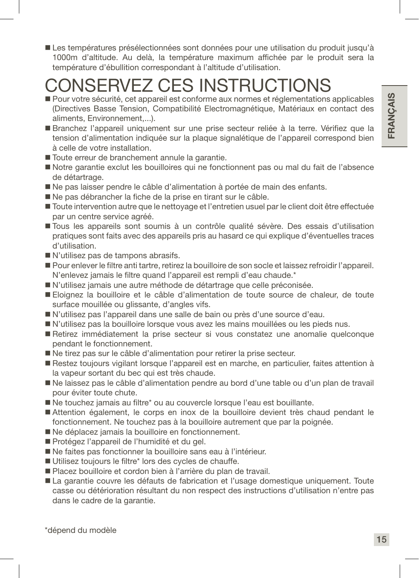Les températures présélectionnées sont données pour une utilisation du produit jusqu'à 1000m d'altitude. Au delà, la température maximum affichée par le produit sera la température d'ébullition correspondant à l'altitude d'utilisation.

# CONSERVEZ CES INSTRUCTIONS

- Pour votre sécurité, cet appareil est conforme aux normes et réglementations applicables (Directives Basse Tension, Compatibilité Electromagnétique, Matériaux en contact des aliments, Environnement,...).
- Branchez l'appareil uniquement sur une prise secteur reliée à la terre. Vérifiez que la tension d'alimentation indiquée sur la plaque signalétique de l'appareil correspond bien à celle de votre installation.
- Toute erreur de branchement annule la garantie.
- Notre garantie exclut les bouilloires qui ne fonctionnent pas ou mal du fait de l'absence de détartrage.
- Ne pas laisser pendre le câble d'alimentation à portée de main des enfants.
- Ne pas débrancher la fiche de la prise en tirant sur le câble.
- Toute intervention autre que le nettoyage et l'entretien usuel par le client doit être effectuée par un centre service agréé.
- Tous les appareils sont soumis à un contrôle qualité sévère. Des essais d'utilisation pratiques sont faits avec des appareils pris au hasard ce qui explique d'éventuelles traces d'utilisation.
- N'utilisez pas de tampons abrasifs.
- Pour enlever le filtre anti tartre, retirez la bouilloire de son socle et laissez refroidir l'appareil. N'enlevez jamais le filtre quand l'appareil est rempli d'eau chaude.\*
- N'utilisez jamais une autre méthode de détartrage que celle préconisée.
- Eloignez la bouilloire et le câble d'alimentation de toute source de chaleur, de toute surface mouillée ou glissante, d'angles vifs.
- N'utilisez pas l'appareil dans une salle de bain ou près d'une source d'eau.
- N'utilisez pas la bouilloire lorsque vous avez les mains mouillées ou les pieds nus.
- Retirez immédiatement la prise secteur si vous constatez une anomalie quelconque pendant le fonctionnement.
- Ne tirez pas sur le câble d'alimentation pour retirer la prise secteur.
- Restez toujours vigilant lorsque l'appareil est en marche, en particulier, faites attention à la vapeur sortant du bec qui est très chaude.
- Ne laissez pas le câble d'alimentation pendre au bord d'une table ou d'un plan de travail pour éviter toute chute.
- Ne touchez jamais au filtre\* ou au couvercle lorsque l'eau est bouillante.
- Attention également, le corps en inox de la bouilloire devient très chaud pendant le fonctionnement. Ne touchez pas à la bouilloire autrement que par la poignée.
- Ne déplacez jamais la bouilloire en fonctionnement.
- Protégez l'appareil de l'humidité et du gel.
- Ne faites pas fonctionner la bouilloire sans eau à l'intérieur.
- Utilisez toujours le filtre\* lors des cycles de chauffe.
- Placez bouilloire et cordon bien à l'arrière du plan de travail.
- La garantie couvre les défauts de fabrication et l'usage domestique uniquement. Toute casse ou détérioration résultant du non respect des instructions d'utilisation n'entre pas dans le cadre de la garantie.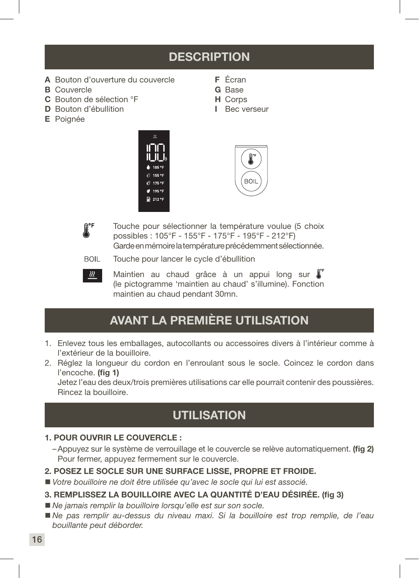# **DESCRIPTION**

F Écran G Base H Corps I Bec verseur

- A Bouton d'ouverture du couvercle
- **B** Couvercle
- C Bouton de sélection °F
- D Bouton d'ébullition
- E Poignée







- Touche pour sélectionner la température voulue (5 choix possibles : 105°F - 155°F - 175°F - 195°F - 212°F) Garde en mémoire la température précédemment sélectionnée.
- **BOIL** Touche pour lancer le cycle d'ébullition



Maintien au chaud grâce à un appui long sur l' (le pictogramme 'maintien au chaud' s'illumine). Fonction maintien au chaud pendant 30mn.

# AVANT LA PREMIÈRE UTILISATION

- 1. Enlevez tous les emballages, autocollants ou accessoires divers à l'intérieur comme à l'extérieur de la bouilloire.
- 2. Réglez la longueur du cordon en l'enroulant sous le socle. Coincez le cordon dans l'encoche. (fig 1)

Jetez l'eau des deux/trois premières utilisations car elle pourrait contenir des poussières. Rincez la bouilloire.

# **UTILISATION**

#### 1. POUR OUVRIR LE COUVERCLE :

–Appuyez sur le système de verrouillage et le couvercle se relève automatiquement. (fig 2) Pour fermer, appuyez fermement sur le couvercle.

#### 2. POSEZ LE SOCLE SUR UNE SURFACE LISSE, PROPRE ET FROIDE.

*Votre bouilloire ne doit être utilisée qu'avec le socle qui lui est associé.*

#### 3. REMPLISSEZ LA BOUILLOIRE AVEC LA QUANTITÉ D'EAU DÉSIRÉE. (fig 3)

- *Ne jamais remplir la bouilloire lorsqu'elle est sur son socle.*
- *Ne pas remplir au-dessus du niveau maxi. Si la bouilloire est trop remplie, de l'eau bouillante peut déborder.*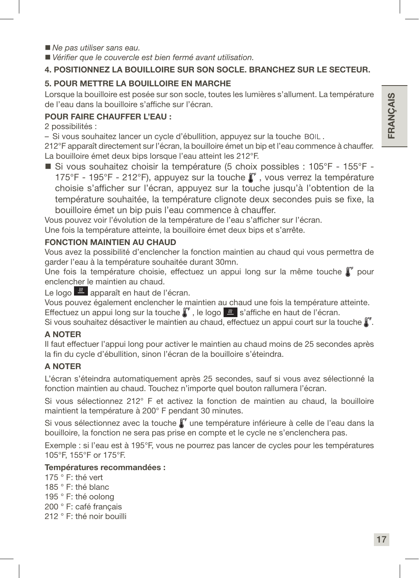*Ne pas utiliser sans eau.*

*Vérifier que le couvercle est bien fermé avant utilisation.*

#### 4. POSITIONNEZ LA BOUILLOIRE SUR SON SOCLE. BRANCHEZ SUR LE SECTEUR.

#### 5. POUR METTRE LA BOUILLOIRE EN MARCHE

Lorsque la bouilloire est posée sur son socle, toutes les lumières s'allument. La température de l'eau dans la bouilloire s'affiche sur l'écran.

#### POUR FAIRE CHAUFFER L'EAU :

2 possibilités :

– Si vous souhaitez lancer un cycle d'ébullition, appuyez sur la touche BOIL.

212°F apparaît directement sur l'écran, la bouilloire émet un bip et l'eau commence à chauffer. La bouilloire émet deux bips lorsque l'eau atteint les 212°F.

■ Si vous souhaitez choisir la température (5 choix possibles : 105°F - 155°F -175°F - 195°F - 212°F), appuyez sur la touche  $\int_{\epsilon}^{\epsilon}$ , vous verrez la température choisie s'afficher sur l'écran, appuyez sur la touche jusqu'à l'obtention de la température souhaitée, la température clignote deux secondes puis se fixe, la bouilloire émet un bip puis l'eau commence à chauffer.

Vous pouvez voir l'évolution de la température de l'eau s'afficher sur l'écran.

Une fois la température atteinte, la bouilloire émet deux bips et s'arrête.

#### FONCTION MAINTIEN AU CHAUD

Vous avez la possibilité d'enclencher la fonction maintien au chaud qui vous permettra de garder l'eau à la température souhaitée durant 30mn.

Une fois la température choisie, effectuez un appui long sur la même touche  $\int_{a}^{b}$  pour enclencher le maintien au chaud.

Le logo  $\frac{1}{2}$  apparaît en haut de l'écran.

Vous pouvez également enclencher le maintien au chaud une fois la température atteinte. Effectuez un appui long sur la touche  $\int_0^{\pi}$ , le logo  $\frac{1}{\sqrt{2}}$  s'affiche en haut de l'écran.

Si vous souhaitez désactiver le maintien au chaud, effectuez un appui court sur la touche  $\int_a^b$ .

#### A NOTER

Il faut effectuer l'appui long pour activer le maintien au chaud moins de 25 secondes après la fin du cycle d'ébullition, sinon l'écran de la bouilloire s'éteindra.

#### A NOTER

L'écran s'éteindra automatiquement après 25 secondes, sauf si vous avez sélectionné la fonction maintien au chaud. Touchez n'importe quel bouton rallumera l'écran.

Si vous sélectionnez 212° F et activez la fonction de maintien au chaud, la bouilloire maintient la température à 200° F pendant 30 minutes.

Si vous sélectionnez avec la touche  $\int_{0}^{\infty}$  une température inférieure à celle de l'eau dans la bouilloire, la fonction ne sera pas prise en compte et le cycle ne s'enclenchera pas.

Exemple : si l'eau est à 195°F, vous ne pourrez pas lancer de cycles pour les températures 105°F, 155°F or 175°F.

#### Températures recommandées :

175 ° F: thé vert 185 ° F: thé blanc 195 ° F: thé oolong 200 ° F: café français 212 ° F: thé noir bouilli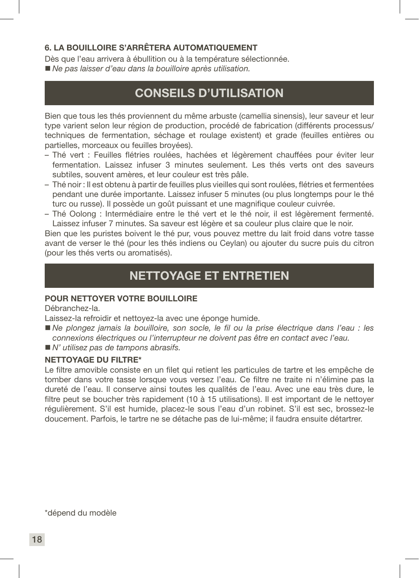#### 6. LA BOUILLOIRE S'ARRÊTERA AUTOMATIQUEMENT

Dès que l'eau arrivera à ébullition ou à la température sélectionnée. *Ne pas laisser d'eau dans la bouilloire après utilisation.*

# CONSEILS D'UTILISATION

Bien que tous les thés proviennent du même arbuste (camellia sinensis), leur saveur et leur type varient selon leur région de production, procédé de fabrication (différents processus/ techniques de fermentation, séchage et roulage existent) et grade (feuilles entières ou partielles, morceaux ou feuilles broyées).

- Thé vert : Feuilles flétries roulées, hachées et légèrement chauffées pour éviter leur fermentation. Laissez infuser 3 minutes seulement. Les thés verts ont des saveurs subtiles, souvent amères, et leur couleur est très pâle.
- Thé noir : Il est obtenu à partir de feuilles plus vieilles qui sont roulées, flétries et fermentées pendant une durée importante. Laissez infuser 5 minutes (ou plus longtemps pour le thé turc ou russe). Il possède un goût puissant et une magnifique couleur cuivrée.
- Thé Oolong : Intermédiaire entre le thé vert et le thé noir, il est légèrement fermenté. Laissez infuser 7 minutes. Sa saveur est légère et sa couleur plus claire que le noir.

Bien que les puristes boivent le thé pur, vous pouvez mettre du lait froid dans votre tasse avant de verser le thé (pour les thés indiens ou Ceylan) ou ajouter du sucre puis du citron (pour les thés verts ou aromatisés).

# NETTOYAGE ET ENTRETIEN

#### POUR NETTOYER VOTRE BOUILLOIRE

Débranchez-la.

Laissez-la refroidir et nettoyez-la avec une éponge humide.

- *Ne plongez jamais la bouilloire, son socle, le fil ou la prise électrique dans l'eau : les connexions électriques ou l'interrupteur ne doivent pas être en contact avec l'eau.*
- *N' utilisez pas de tampons abrasifs.*

#### NETTOYAGE DU FILTRE\*

Le filtre amovible consiste en un filet qui retient les particules de tartre et les empêche de tomber dans votre tasse lorsque vous versez l'eau. Ce filtre ne traite ni n'élimine pas la dureté de l'eau. Il conserve ainsi toutes les qualités de l'eau. Avec une eau très dure, le filtre peut se boucher très rapidement (10 à 15 utilisations). Il est important de le nettoyer régulièrement. S'il est humide, placez-le sous l'eau d'un robinet. S'il est sec, brossez-le doucement. Parfois, le tartre ne se détache pas de lui-même; il faudra ensuite détartrer.

\*dépend du modèle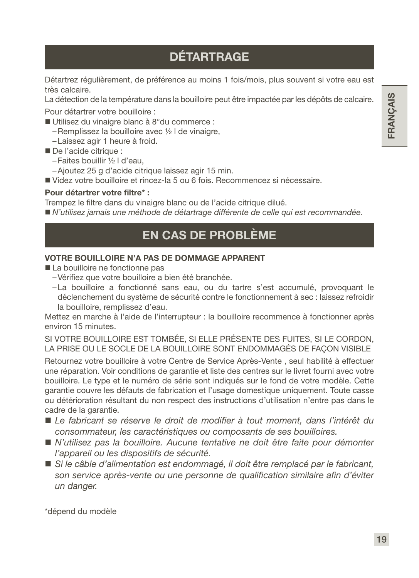# **DÉTARTRAGE**

Détartrez régulièrement, de préférence au moins 1 fois/mois, plus souvent si votre eau est très calcaire.

La détection de la température dans la bouilloire peut être impactée par les dépôts de calcaire.

Pour détartrer votre bouilloire :

- Utilisez du vinaigre blanc à 8°du commerce :
	- –Remplissez la bouilloire avec ½ l de vinaigre,
	- –Laissez agir 1 heure à froid.
- De l'acide citrique :
	- –Faites bouillir ½ l d'eau,
	- –Ajoutez 25 g d'acide citrique laissez agir 15 min.
- Videz votre bouilloire et rincez-la 5 ou 6 fois. Recommencez si nécessaire.

#### Pour détartrer votre filtre\* :

Trempez le filtre dans du vinaigre blanc ou de l'acide citrique dilué.

*N'utilisez jamais une méthode de détartrage différente de celle qui est recommandée.*

# EN CAS DE PROBLÈME

#### VOTRE BOUILLOIRE N'A PAS DE DOMMAGE APPARENT

- La bouilloire ne fonctionne pas
	- –Vérifiez que votre bouilloire a bien été branchée.
	- –La bouilloire a fonctionné sans eau, ou du tartre s'est accumulé, provoquant le déclenchement du système de sécurité contre le fonctionnement à sec : laissez refroidir la bouilloire, remplissez d'eau.

Mettez en marche à l'aide de l'interrupteur : la bouilloire recommence à fonctionner après environ 15 minutes.

SI VOTRE BOUILLOIRE EST TOMBÉE, SI ELLE PRÉSENTE DES FUITES, SI LE CORDON, LA PRISE OU LE SOCLE DE LA BOUILLOIRE SONT ENDOMMAGÉS DE FAÇON VISIBLE

Retournez votre bouilloire à votre Centre de Service Après-Vente , seul habilité à effectuer une réparation. Voir conditions de garantie et liste des centres sur le livret fourni avec votre bouilloire. Le type et le numéro de série sont indiqués sur le fond de votre modèle. Cette garantie couvre les défauts de fabrication et l'usage domestique uniquement. Toute casse ou détérioration résultant du non respect des instructions d'utilisation n'entre pas dans le cadre de la garantie.

- *Le fabricant se réserve le droit de modifier à tout moment, dans l'intérêt du consommateur, les caractéristiques ou composants de ses bouilloires.*
- *N'utilisez pas la bouilloire. Aucune tentative ne doit être faite pour démonter l'appareil ou les dispositifs de sécurité.*
- *Si le câble d'alimentation est endommagé, il doit être remplacé par le fabricant, son service après-vente ou une personne de qualification similaire afin d'éviter un danger.*

\*dépend du modèle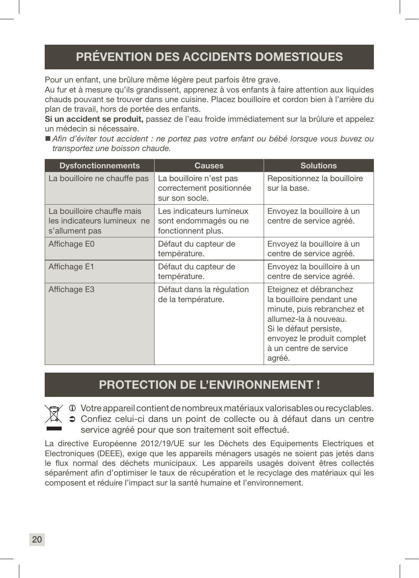# PRÉVENTION DES ACCIDENTS DOMESTIQUES

Pour un enfant, une brûlure même légère peut parfois être grave.

Au fur et à mesure qu'ils grandissent, apprenez à vos enfants à faire attention aux liquides chauds pouvant se trouver dans une cuisine. Placez bouilloire et cordon bien à l'arrière du plan de travail, hors de portée des enfants.

Si un accident se produit, passez de l'eau froide immédiatement sur la brûlure et appelez un médecin si nécessaire.

 *Afin d'éviter tout accident : ne portez pas votre enfant ou bébé lorsque vous buvez ou transportez une boisson chaude.*

| <b>Dysfonctionnements</b>                                                   | Causes                                                                  | <b>Solutions</b>                                                                                                                                                                                       |
|-----------------------------------------------------------------------------|-------------------------------------------------------------------------|--------------------------------------------------------------------------------------------------------------------------------------------------------------------------------------------------------|
| La bouilloire ne chauffe pas                                                | La bouilloire n'est pas<br>correctement positionnée<br>sur son socle.   | Repositionnez la bouilloire<br>sur la base.                                                                                                                                                            |
| La bouilloire chauffe mais<br>les indicateurs lumineux ne<br>s'allument pas | Les indicateurs lumineux<br>sont endommagés ou ne<br>fonctionnent plus. | Envoyez la bouilloire à un<br>centre de service agréé.                                                                                                                                                 |
| Affichage E0                                                                | Défaut du capteur de<br>température.                                    | Envoyez la bouilloire à un<br>centre de service agréé.                                                                                                                                                 |
| Affichage E1                                                                | Défaut du capteur de<br>température.                                    | Envoyez la bouilloire à un<br>centre de service agréé.                                                                                                                                                 |
| Affichage E3                                                                | Défaut dans la régulation<br>de la température.                         | Eteignez et débranchez<br>la bouilloire pendant une<br>minute, puis rebranchez et<br>allumez-la à nouveau.<br>Si le défaut persiste,<br>envoyez le produit complet<br>à un centre de service<br>agréé. |

# PROTECTION DE L'ENVIRONNEMENT !

Votre appareil contient de nombreux matériaux valorisables ou recyclables. Confiez celui-ci dans un point de collecte ou à défaut dans un centre service agréé pour que son traitement soit effectué.

La directive Européenne 2012/19/UE sur les Déchets des Equipements Electriques et Electroniques (DEEE), exige que les appareils ménagers usagés ne soient pas jetés dans le flux normal des déchets municipaux. Les appareils usagés doivent êtres collectés séparément afin d'optimiser le taux de récupération et le recyclage des matériaux qui les composent et réduire l'impact sur la santé humaine et l'environnement.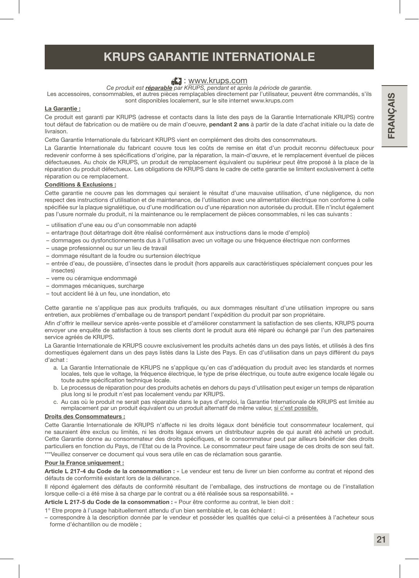# KRUPS GARANTIE INTERNATIONALE

#### **E.** : www.krups.com

*Ce produit est réparable par KRUPS, pendant et après la période de garantie.*

Les accessoires, consommables, et autres pièces remplaçables directement par l'utilisateur, peuvent être commandés, s'ils sont disponibles localement, sur le site internet www.krups.com

#### La Garantie :

Ce produit est garanti par KRUPS (adresse et contacts dans la liste des pays de la Garantie Internationale KRUPS) contre tout défaut de fabrication ou de matière ou de main d'oeuvre, pendant 2 ans à partir de la date d'achat initiale ou la date de livraison.

Cette Garantie Internationale du fabricant KRUPS vient en complément des droits des consommateurs.

La Garantie Internationale du fabricant couvre tous les coûts de remise en état d'un produit reconnu défectueux pour redevenir conforme à ses spécifications d'origine, par la réparation, la main-d'œuvre, et le remplacement éventuel de pièces défectueuses. Au choix de KRUPS, un produit de remplacement équivalent ou supérieur peut être proposé à la place de la réparation du produit défectueux. Les obligations de KRUPS dans le cadre de cette garantie se limitent exclusivement à cette réparation ou ce remplacement.

#### Conditions & Exclusions :

Cette garantie ne couvre pas les dommages qui seraient le résultat d'une mauvaise utilisation, d'une négligence, du non respect des instructions d'utilisation et de maintenance, de l'utilisation avec une alimentation électrique non conforme à celle spécifiée sur la plaque signalétique, ou d'une modification ou d'une réparation non autorisée du produit. Elle n'inclut également pas l'usure normale du produit, ni la maintenance ou le remplacement de pièces consommables, ni les cas suivants :

- utilisation d'une eau ou d'un consommable non adapté
- entartrage (tout détartrage doit être réalisé conformément aux instructions dans le mode d'emploi)
- dommages ou dysfonctionnements dus à l'utilisation avec un voltage ou une fréquence électrique non conformes
- usage professionnel ou sur un lieu de travail
- dommage résultant de la foudre ou surtension électrique
- entrée d'eau, de poussière, d'insectes dans le produit (hors appareils aux caractéristiques spécialement conçues pour les insectes)
- verre ou céramique endommagé
- dommages mécaniques, surcharge
- tout accident lié à un feu, une inondation, etc

Cette garantie ne s'applique pas aux produits trafiqués, ou aux dommages résultant d'une utilisation impropre ou sans entretien, aux problèmes d'emballage ou de transport pendant l'expédition du produit par son propriétaire.

Afin d'offrir le meilleur service après-vente possible et d'améliorer constamment la satisfaction de ses clients, KRUPS pourra envoyer une enquête de satisfaction à tous ses clients dont le produit aura été réparé ou échangé par l'un des partenaires service agréés de KRUPS.

La Garantie Internationale de KRUPS couvre exclusivement les produits achetés dans un des pays listés, et utilisés à des fins domestiques également dans un des pays listés dans la Liste des Pays. En cas d'utilisation dans un pays différent du pays d'achat :

- a. La Garantie Internationale de KRUPS ne s'applique qu'en cas d'adéquation du produit avec les standards et normes locales, tels que le voltage, la fréquence électrique, le type de prise électrique, ou toute autre exigence locale légale ou toute autre spécification technique locale.
- b. Le processus de réparation pour des produits achetés en dehors du pays d'utilisation peut exiger un temps de réparation plus long si le produit n'est pas localement vendu par KRUPS.
- c. Au cas où le produit ne serait pas réparable dans le pays d'emploi, la Garantie Internationale de KRUPS est limitée au remplacement par un produit équivalent ou un produit alternatif de même valeur, si c'est possible.

#### Droits des Consommateurs :

Cette Garantie Internationale de KRUPS n'affecte ni les droits légaux dont bénéficie tout consommateur localement, qui ne sauraient être exclus ou limités, ni les droits légaux envers un distributeur auprès de qui aurait été acheté un produit. Cette Garantie donne au consommateur des droits spécifiques, et le consommateur peut par ailleurs bénéficier des droits particuliers en fonction du Pays, de l'Etat ou de la Province. Le consommateur peut faire usage de ces droits de son seul fait.

\*\*\*Veuillez conserver ce document qui vous sera utile en cas de réclamation sous garantie.

#### Pour la France uniquement :

Article L 217-4 du Code de la consommation : « Le vendeur est tenu de livrer un bien conforme au contrat et répond des défauts de conformité existant lors de la délivrance.

Il répond également des défauts de conformité résultant de l'emballage, des instructions de montage ou de l'installation lorsque celle-ci a été mise à sa charge par le contrat ou a été réalisée sous sa responsabilité. »

Article L 217-5 du Code de la consommation : « Pour être conforme au contrat, le bien doit :

1° Etre propre à l'usage habituellement attendu d'un bien semblable et, le cas échéant :

– correspondre à la description donnée par le vendeur et posséder les qualités que celui-ci a présentées à l'acheteur sous forme d'échantillon ou de modèle ;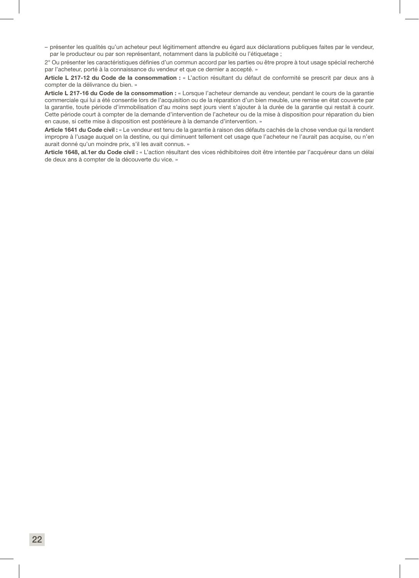– présenter les qualités qu'un acheteur peut légitimement attendre eu égard aux déclarations publiques faites par le vendeur, par le producteur ou par son représentant, notamment dans la publicité ou l'étiquetage ;

2° Ou présenter les caractéristiques définies d'un commun accord par les parties ou être propre à tout usage spécial recherché par l'acheteur, porté à la connaissance du vendeur et que ce dernier a accepté. »

Article L 217-12 du Code de la consommation : « L'action résultant du défaut de conformité se prescrit par deux ans à compter de la délivrance du bien. »

Article L 217-16 du Code de la consommation : « Lorsque l'acheteur demande au vendeur, pendant le cours de la garantie commerciale qui lui a été consentie lors de l'acquisition ou de la réparation d'un bien meuble, une remise en état couverte par la garantie, toute période d'immobilisation d'au moins sept jours vient s'ajouter à la durée de la garantie qui restait à courir. Cette période court à compter de la demande d'intervention de l'acheteur ou de la mise à disposition pour réparation du bien en cause, si cette mise à disposition est postérieure à la demande d'intervention. »

Article 1641 du Code civil : « Le vendeur est tenu de la garantie à raison des défauts cachés de la chose vendue qui la rendent impropre à l'usage auquel on la destine, ou qui diminuent tellement cet usage que l'acheteur ne l'aurait pas acquise, ou n'en aurait donné qu'un moindre prix, s'il les avait connus. »

Article 1648, al.1er du Code civil : « L'action résultant des vices rédhibitoires doit être intentée par l'acquéreur dans un délai de deux ans à compter de la découverte du vice. »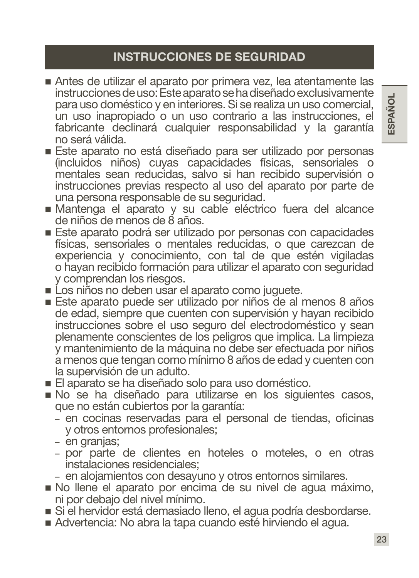- Antes de utilizar el aparato por primera vez, lea atentamente las instrucciones de uso: Este aparato se ha diseñado exclusivamente para uso doméstico y en interiores. Si se realiza un uso comercial, un uso inapropiado o un uso contrario a las instrucciones, el fabricante declinará cualquier responsabilidad y la garantía no será válida.
- Este aparato no está diseñado para ser utilizado por personas (incluidos niños) cuyas capacidades físicas, sensoriales o mentales sean reducidas, salvo si han recibido supervisión o instrucciones previas respecto al uso del aparato por parte de una persona responsable de su seguridad.
- Mantenga el aparato y su cable eléctrico fuera del alcance de niños de menos de 8 años.
- Este aparato podrá ser utilizado por personas con capacidades físicas, sensoriales o mentales reducidas, o que carezcan de experiencia y conocimiento, con tal de que estén vigiladas o hayan recibido formación para utilizar el aparato con seguridad y comprendan los riesgos.
- Los niños no deben usar el aparato como juguete.
- Este aparato puede ser utilizado por niños de al menos 8 años de edad, siempre que cuenten con supervisión y hayan recibido instrucciones sobre el uso seguro del electrodoméstico y sean plenamente conscientes de los peligros que implica. La limpieza y mantenimiento de la máquina no debe ser efectuada por niños a menos que tengan como mínimo 8 años de edad y cuenten con la supervisión de un adulto.
- El aparato se ha diseñado solo para uso doméstico.
- No se ha diseñado para utilizarse en los siguientes casos, que no están cubiertos por la garantía:
	- en cocinas reservadas para el personal de tiendas, oficinas y otros entornos profesionales;
	- en granjas;
	- por parte de clientes en hoteles o moteles, o en otras instalaciones residenciales;
	- en alojamientos con desayuno y otros entornos similares.
- No llene el aparato por encima de su nivel de agua máximo, ni por debajo del nivel mínimo.
- Si el hervidor está demasiado lleno, el agua podría desbordarse.
- Advertencia: No abra la tapa cuando esté hirviendo el agua.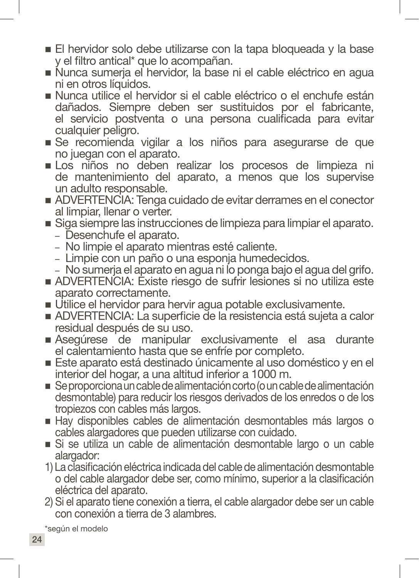- El hervidor solo debe utilizarse con la tapa bloqueada y la base y el filtro antical\* que lo acompañan.
- Nunca sumerja el hervidor, la base ni el cable eléctrico en agua ni en otros líquidos.
- Nunca utilice el hervidor si el cable eléctrico o el enchufe están dañados. Siempre deben ser sustituidos por el fabricante, el servicio postventa o una persona cualificada para evitar cualquier peligro.
- Se recomienda vigilar a los niños para asegurarse de que no juegan con el aparato.
- Los niños no deben realizar los procesos de limpieza ni de mantenimiento del aparato, a menos que los supervise un adulto responsable.
- ADVERTENCIA: Tenga cuidado de evitar derrames en el conector al limpiar, llenar o verter.
- Siga siempre las instrucciones de limpieza para limpiar el aparato.
	- Desenchufe el aparato.
	- No limpie el aparato mientras esté caliente.
	- Limpie con un paño o una esponja humedecidos.
	- No sumerja el aparato en agua ni lo ponga bajo el agua del grifo.
- ADVERTENCIA: Existe riesgo de sufrir lesiones si no utiliza este aparato correctamente.
- Utilice el hervidor para hervir agua potable exclusivamente.
- ADVERTENCIA: La superficie de la resistencia está sujeta a calor residual después de su uso.
- Asegúrese de manipular exclusivamente el asa durante el calentamiento hasta que se enfríe por completo.
- Este aparato está destinado únicamente al uso doméstico y en el interior del hogar, a una altitud inferior a 1000 m.
- Se proporciona un cable de alimentación corto (o un cable de alimentación desmontable) para reducir los riesgos derivados de los enredos o de los tropiezos con cables más largos.
- Hay disponibles cables de alimentación desmontables más largos o cables alargadores que pueden utilizarse con cuidado.
- Si se utiliza un cable de alimentación desmontable largo o un cable alargador:
- 1) La clasificación eléctrica indicada del cable de alimentación desmontable o del cable alargador debe ser, como mínimo, superior a la clasificación eléctrica del aparato.
- 2) Si el aparato tiene conexión a tierra, el cable alargador debe ser un cable con conexión a tierra de 3 alambres.

\*según el modelo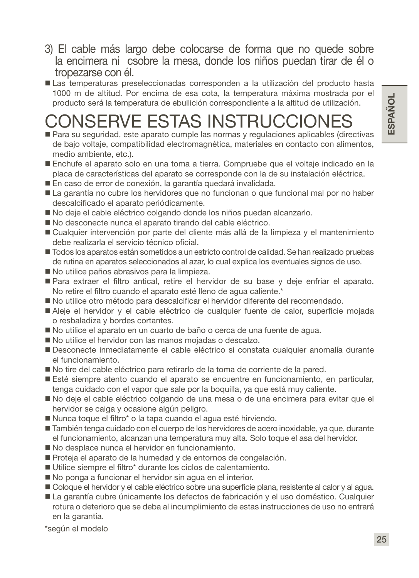- 3) El cable más largo debe colocarse de forma que no quede sobre la encimera ni csobre la mesa, donde los niños puedan tirar de él o tropezarse con él.
- Las temperaturas preseleccionadas corresponden a la utilización del producto hasta 1000 m de altitud. Por encima de esa cota, la temperatura máxima mostrada por el producto será la temperatura de ebullición correspondiente a la altitud de utilización.

# CONSERVE ESTAS INSTRUCCIONES

- Para su seguridad, este aparato cumple las normas y regulaciones aplicables (directivas de bajo voltaje, compatibilidad electromagnética, materiales en contacto con alimentos, medio ambiente, etc.).
- Enchufe el aparato solo en una toma a tierra. Compruebe que el voltaje indicado en la placa de características del aparato se corresponde con la de su instalación eléctrica.
- En caso de error de conexión, la garantía quedará invalidada.
- La garantía no cubre los hervidores que no funcionan o que funcional mal por no haber descalcificado el aparato periódicamente.
- No deje el cable eléctrico colgando donde los niños puedan alcanzarlo.
- No desconecte nunca el aparato tirando del cable eléctrico.
- Cualquier intervención por parte del cliente más allá de la limpieza y el mantenimiento debe realizarla el servicio técnico oficial.
- Todos los aparatos están sometidos a un estricto control de calidad. Se han realizado pruebas de rutina en aparatos seleccionados al azar, lo cual explica los eventuales signos de uso.
- No utilice paños abrasivos para la limpieza.
- Para extraer el filtro antical, retire el hervidor de su base y deje enfriar el aparato. No retire el filtro cuando el aparato esté lleno de agua caliente.\*
- No utilice otro método para descalcificar el hervidor diferente del recomendado.
- Aleje el hervidor y el cable eléctrico de cualquier fuente de calor, superficie mojada o resbaladiza y bordes cortantes.
- No utilice el aparato en un cuarto de baño o cerca de una fuente de agua.
- No utilice el hervidor con las manos mojadas o descalzo.
- Desconecte inmediatamente el cable eléctrico si constata cualquier anomalía durante el funcionamiento.
- No tire del cable eléctrico para retirarlo de la toma de corriente de la pared.
- Esté siempre atento cuando el aparato se encuentre en funcionamiento, en particular, tenga cuidado con el vapor que sale por la boquilla, ya que está muy caliente.
- No deje el cable eléctrico colgando de una mesa o de una encimera para evitar que el hervidor se caiga y ocasione algún peligro.
- Nunca toque el filtro\* o la tapa cuando el agua esté hirviendo.
- También tenga cuidado con el cuerpo de los hervidores de acero inoxidable, ya que, durante el funcionamiento, alcanzan una temperatura muy alta. Solo toque el asa del hervidor.
- No desplace nunca el hervidor en funcionamiento.
- Proteja el aparato de la humedad y de entornos de congelación.
- Utilice siempre el filtro\* durante los ciclos de calentamiento.
- No ponga a funcionar el hervidor sin agua en el interior.
- Coloque el hervidor y el cable eléctrico sobre una superficie plana, resistente al calor y al agua.
- La garantía cubre únicamente los defectos de fabricación y el uso doméstico. Cualquier rotura o deterioro que se deba al incumplimiento de estas instrucciones de uso no entrará en la garantía.

\*según el modelo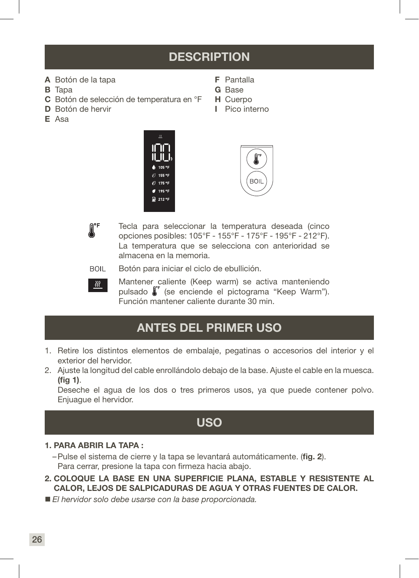# **DESCRIPTION**

F Pantalla G Base H Cuerpo I Pico interno

- A Botón de la tapa
- **B** Tapa
- C Botón de selección de temperatura en °F
- D Botón de hervir
- E Asa





 $\textbf{R}^{\mathsf{F}}$ 

Tecla para seleccionar la temperatura deseada (cinco opciones posibles: 105°F - 155°F - 175°F - 195°F - 212°F). La temperatura que se selecciona con anterioridad se almacena en la memoria.

**BOIL** Botón para iniciar el ciclo de ebullición.



Mantener caliente (Keep warm) se activa manteniendo pulsado  $\int_{0}^{\pi}$  (se enciende el pictograma "Keep Warm"). Función mantener caliente durante 30 min.

# ANTES DEL PRIMER USO

- 1. Retire los distintos elementos de embalaje, pegatinas o accesorios del interior y el exterior del hervidor.
- 2. Ajuste la longitud del cable enrollándolo debajo de la base. Ajuste el cable en la muesca. (fig 1).

Deseche el agua de los dos o tres primeros usos, ya que puede contener polvo. Enjuague el hervidor.

# USO

#### 1. PARA ABRIR LA TAPA :

- –Pulse el sistema de cierre y la tapa se levantará automáticamente. (fig. 2). Para cerrar, presione la tapa con firmeza hacia abajo.
- 2. COLOQUE LA BASE EN UNA SUPERFICIE PLANA, ESTABLE Y RESISTENTE AL CALOR, LEJOS DE SALPICADURAS DE AGUA Y OTRAS FUENTES DE CALOR.
- *El hervidor solo debe usarse con la base proporcionada.*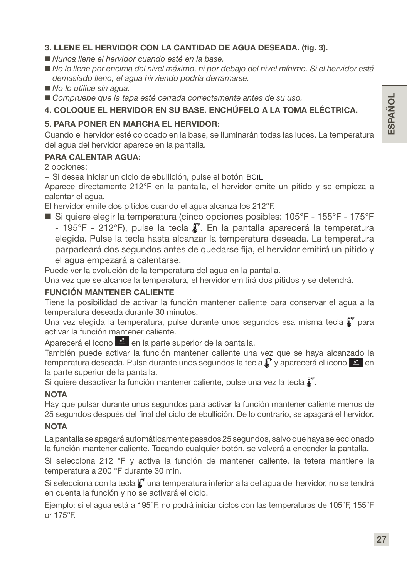#### 3. LLENE EL HERVIDOR CON LA CANTIDAD DE AGUA DESEADA. (fig. 3).

- *Nunca llene el hervidor cuando esté en la base.*
- *No lo llene por encima del nivel máximo, ni por debajo del nivel mínimo. Si el hervidor está demasiado lleno, el agua hirviendo podría derramarse.*
- *No lo utilice sin aqua.*
- *Compruebe que la tapa esté cerrada correctamente antes de su uso.*

#### 4. COLOQUE EL HERVIDOR EN SU BASE. ENCHÚFELO A LA TOMA ELÉCTRICA.

#### 5. PARA PONER EN MARCHA EL HERVIDOR:

Cuando el hervidor esté colocado en la base, se iluminarán todas las luces. La temperatura del agua del hervidor aparece en la pantalla.

#### PARA CALENTAR AGUA:

2 opciones:

– Si desea iniciar un ciclo de ebullición, pulse el botón

Aparece directamente 212°F en la pantalla, el hervidor emite un pitido y se empieza a calentar el agua.

El hervidor emite dos pitidos cuando el agua alcanza los 212°F.

■ Si quiere elegir la temperatura (cinco opciones posibles: 105°F - 155°F - 175°F - 195°F - 212°F), pulse la tecla  $\int_{\Gamma}$ . En la pantalla aparecerá la temperatura elegida. Pulse la tecla hasta alcanzar la temperatura deseada. La temperatura parpadeará dos segundos antes de quedarse fija, el hervidor emitirá un pitido y el agua empezará a calentarse.

Puede ver la evolución de la temperatura del agua en la pantalla.

Una vez que se alcance la temperatura, el hervidor emitirá dos pitidos y se detendrá.

#### FUNCIÓN MANTENER CALIENTE

Tiene la posibilidad de activar la función mantener caliente para conservar el agua a la temperatura deseada durante 30 minutos.

Una vez elegida la temperatura, pulse durante unos segundos esa misma tecla  $\int_{a}^{b}$  para activar la función mantener caliente.

Aparecerá el icono  $\frac{1}{2}$  en la parte superior de la pantalla.

También puede activar la función mantener caliente una vez que se haya alcanzado la temperatura deseada. Pulse durante unos segundos la tecla  $\int_{a}^{b}$  y aparecerá el icono  $\frac{d\mathcal{U}}{d}$  en la parte superior de la pantalla.

Si quiere desactivar la función mantener caliente, pulse una vez la tecla  $\int_{a}^{a}$ .

#### **NOTA**

Hay que pulsar durante unos segundos para activar la función mantener caliente menos de 25 segundos después del final del ciclo de ebullición. De lo contrario, se apagará el hervidor.

#### **NOTA**

La pantalla se apagará automáticamente pasados 25 segundos, salvo que haya seleccionado la función mantener caliente. Tocando cualquier botón, se volverá a encender la pantalla.

Si selecciona 212 °F y activa la función de mantener caliente, la tetera mantiene la temperatura a 200 °F durante 30 min.

Si selecciona con la tecla  $\int_{a}^{a}$ una temperatura inferior a la del agua del hervidor, no se tendrá en cuenta la función y no se activará el ciclo.

Ejemplo: si el agua está a 195°F, no podrá iniciar ciclos con las temperaturas de 105°F, 155°F or 175°F.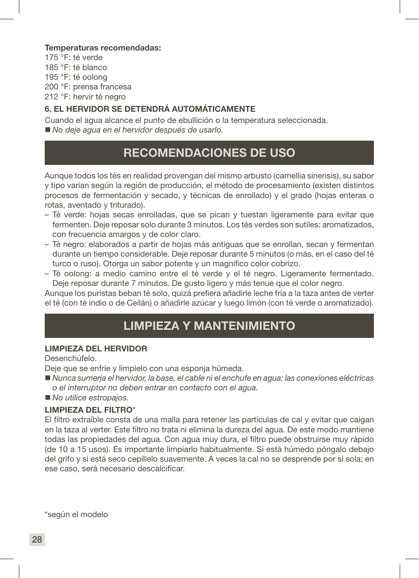#### Temperaturas recomendadas:

175 °F: té verde 185 °F: té blanco 195 °F: té oolong 200 °F: prensa francesa 212 °F: hervir té negro

#### 6. EL HERVIDOR SE DETENDRÁ AUTOMÁTICAMENTE

Cuando el agua alcance el punto de ebullición o la temperatura seleccionada. *No deje agua en el hervidor después de usarlo.*

# RECOMENDACIONES DE USO

Aunque todos los tés en realidad provengan del mismo arbusto (camellia sinensis), su sabor y tipo varían según la región de producción, el método de procesamiento (existen distintos procesos de fermentación y secado, y técnicas de enrollado) y el grado (hojas enteras o rotas, aventado y triturado).

- Té verde: hojas secas enrolladas, que se pican y tuestan ligeramente para evitar que fermenten. Deje reposar solo durante 3 minutos. Los tés verdes son sutiles: aromatizados, con frecuencia amargos y de color claro.
- Té negro: elaborados a partir de hojas más antiguas que se enrollan, secan y fermentan durante un tiempo considerable. Deje reposar durante 5 minutos (o más, en el caso del té turco o ruso). Otorga un sabor potente y un magnífico color cobrizo.
- Té oolong: a medio camino entre el té verde y el té negro. Ligeramente fermentado. Deje reposar durante 7 minutos. De gusto ligero y más tenue que el color negro.

Aunque los puristas beban té solo, quizá prefiera añadirle leche fría a la taza antes de verter el té (con té indio o de Ceilán) o añadirle azúcar y luego limón (con té verde o aromatizado).

### LIMPIEZA Y MANTENIMIENTO

#### LIMPIEZA DEL HERVIDOR

Desenchúfelo.

Deje que se enfríe y límpielo con una esponja húmeda.

- *Nunca sumerja el hervidor, la base, el cable ni el enchufe en agua: las conexiones eléctricas o el interruptor no deben entrar en contacto con el agua.*
- *No utilice estropajos.*

#### LIMPIEZA DEL FILTRO\*

El filtro extraíble consta de una malla para retener las partículas de cal y evitar que caigan en la taza al verter. Este filtro no trata ni elimina la dureza del agua. De este modo mantiene todas las propiedades del agua. Con agua muy dura, el filtro puede obstruirse muy rápido (de 10 a 15 usos). Es importante limpiarlo habitualmente. Si está húmedo póngalo debajo del grifo y si está seco cepíllelo suavemente. A veces la cal no se desprende por sí sola; en ese caso, será necesario descalcificar.

\*según el modelo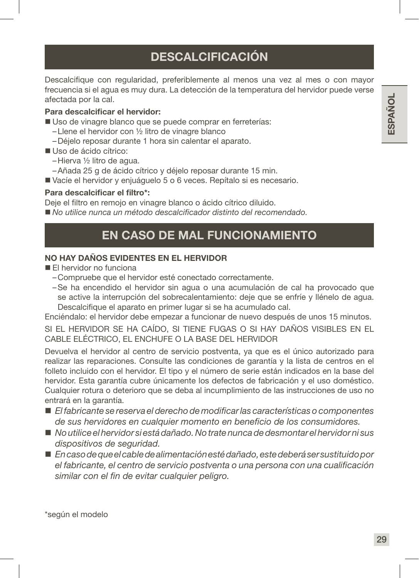# **DESCALCIFICACIÓN**

Descalcifique con regularidad, preferiblemente al menos una vez al mes o con mayor frecuencia si el agua es muy dura. La detección de la temperatura del hervidor puede verse afectada por la cal.

#### Para descalcificar el hervidor:

- Uso de vinagre blanco que se puede comprar en ferreterías:
	- –Llene el hervidor con ½ litro de vinagre blanco
	- –Déjelo reposar durante 1 hora sin calentar el aparato.
- Uso de ácido cítrico:
	- –Hierva ½ litro de agua.
	- –Añada 25 g de ácido cítrico y déjelo reposar durante 15 min.
- Vacíe el hervidor y enjuáguelo 5 o 6 veces. Repítalo si es necesario.

#### Para descalcificar el filtro\*:

Deje el filtro en remojo en vinagre blanco o ácido cítrico diluido.

*No utilice nunca un método descalcificador distinto del recomendado.*

# EN CASO DE MAL FUNCIONAMIENTO

#### NO HAY DAÑOS EVIDENTES EN EL HERVIDOR

- **El hervidor no funciona** 
	- –Compruebe que el hervidor esté conectado correctamente.
	- –Se ha encendido el hervidor sin agua o una acumulación de cal ha provocado que se active la interrupción del sobrecalentamiento: deje que se enfríe y llénelo de agua. Descalcifique el aparato en primer lugar si se ha acumulado cal.

Enciéndalo: el hervidor debe empezar a funcionar de nuevo después de unos 15 minutos.

SI EL HERVIDOR SE HA CAÍDO, SI TIENE FUGAS O SI HAY DAÑOS VISIBLES EN EL CABLE ELÉCTRICO, EL ENCHUFE O LA BASE DEL HERVIDOR

Devuelva el hervidor al centro de servicio postventa, ya que es el único autorizado para realizar las reparaciones. Consulte las condiciones de garantía y la lista de centros en el folleto incluido con el hervidor. El tipo y el número de serie están indicados en la base del hervidor. Esta garantía cubre únicamente los defectos de fabricación y el uso doméstico. Cualquier rotura o deterioro que se deba al incumplimiento de las instrucciones de uso no entrará en la garantía.

- *El fabricante se reserva el derecho de modificar las características o componentes de sus hervidores en cualquier momento en beneficio de los consumidores.*
- *No utilice el hervidor si está dañado. No trate nunca de desmontar el hervidor ni sus dispositivos de seguridad.*
- *En caso de que el cable de alimentación esté dañado, este deberá ser sustituido por el fabricante, el centro de servicio postventa o una persona con una cualificación similar con el fin de evitar cualquier peligro.*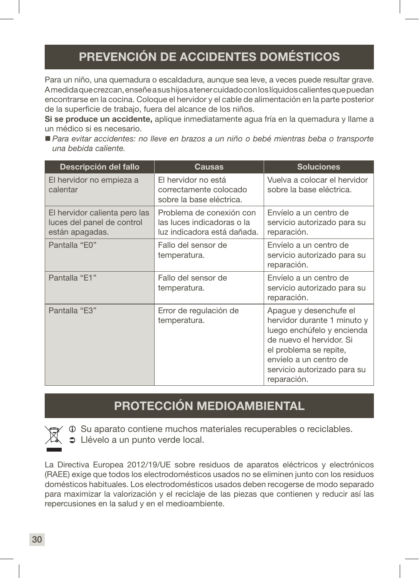# PREVENCIÓN DE ACCIDENTES DOMÉSTICOS

Para un niño, una quemadura o escaldadura, aunque sea leve, a veces puede resultar grave. A medida que crezcan, enseñe a sus hijos a tener cuidado con los líquidos calientes que puedan encontrarse en la cocina. Coloque el hervidor y el cable de alimentación en la parte posterior de la superficie de trabajo, fuera del alcance de los niños.

Si se produce un accidente, aplique inmediatamente agua fría en la quemadura y llame a un médico si es necesario.

 *Para evitar accidentes: no lleve en brazos a un niño o bebé mientras beba o transporte una bebida caliente.*

| Descripción del fallo                                                          | Causas                                                                                | <b>Soluciones</b>                                                                                                                                                                                                 |
|--------------------------------------------------------------------------------|---------------------------------------------------------------------------------------|-------------------------------------------------------------------------------------------------------------------------------------------------------------------------------------------------------------------|
| El hervidor no empieza a<br>calentar                                           | El hervidor no está<br>correctamente colocado<br>sobre la base eléctrica.             | Vuelva a colocar el hervidor<br>sobre la base eléctrica.                                                                                                                                                          |
| El hervidor calienta pero las<br>luces del panel de control<br>están apagadas. | Problema de conexión con<br>las luces indicadoras o la<br>luz indicadora está dañada. | Envíelo a un centro de<br>servicio autorizado para su<br>reparación.                                                                                                                                              |
| Pantalla "E0"                                                                  | Fallo del sensor de<br>temperatura.                                                   | Envíelo a un centro de<br>servicio autorizado para su<br>reparación.                                                                                                                                              |
| Pantalla "E1"                                                                  | Fallo del sensor de<br>temperatura.                                                   | Envíelo a un centro de<br>servicio autorizado para su<br>reparación.                                                                                                                                              |
| Pantalla "E3"                                                                  | Error de regulación de<br>temperatura.                                                | Apague y desenchufe el<br>hervidor durante 1 minuto y<br>luego enchúfelo y encienda<br>de nuevo el hervidor. Si<br>el problema se repite,<br>envíelo a un centro de<br>servicio autorizado para su<br>reparación. |

# PROTECCIÓN MEDIOAMBIENTAL



 $\odot$  Su aparato contiene muchos materiales recuperables o reciclables.

 $\bullet$  Llévelo a un punto verde local.

La Directiva Europea 2012/19/UE sobre residuos de aparatos eléctricos y electrónicos (RAEE) exige que todos los electrodomésticos usados no se eliminen junto con los residuos domésticos habituales. Los electrodomésticos usados deben recogerse de modo separado para maximizar la valorización y el reciclaje de las piezas que contienen y reducir así las repercusiones en la salud y en el medioambiente.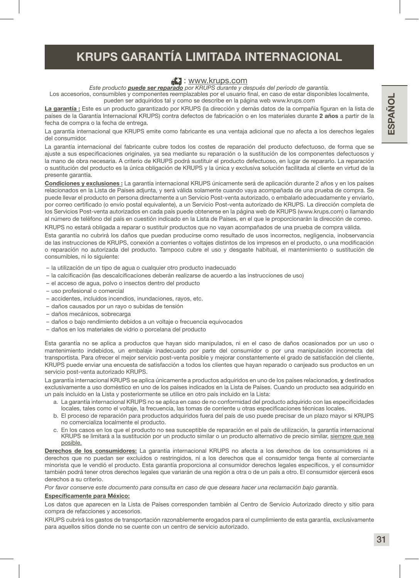# KRUPS GARANTÍA LIMITADA INTERNACIONAL

#### **E.** : www.krups.com

*Este producto puede ser reparado por KRUPS durante y después del periodo de garantía.*

Los accesorios, consumibles y componentes reemplazables por el usuario final, en caso de estar disponibles localmente, pueden ser adquiridos tal y como se describe en la página web www.krups.com

La garantía : Este es un producto garantizado por KRUPS (la dirección y demás datos de la compañía figuran en la lista de países de la Garantía Internacional KRUPS) contra defectos de fabricación o en los materiales durante 2 años a partir de la fecha de compra o la fecha de entrega.

La garantía internacional que KRUPS emite como fabricante es una ventaja adicional que no afecta a los derechos legales del consumidor.

La garantía internacional del fabricante cubre todos los costes de reparación del producto defectuoso, de forma que se ajuste a sus especificaciones originales, ya sea mediante su reparación o la sustitución de los componentes defectuosos y la mano de obra necesaria. A criterio de KRUPS podrá sustituir el producto defectuoso, en lugar de repararlo. La reparación o sustitución del producto es la única obligación de KRUPS y la única y exclusiva solución facilitada al cliente en virtud de la presente garantía.

Condiciones y exclusiones : La garantía internacional KRUPS únicamente será de aplicación durante 2 años y en los países relacionados en la Lista de Países adjunta, y será válida solamente cuando vaya acompañada de una prueba de compra. Se puede llevar el producto en persona directamente a un Servicio Post-venta autorizado, o embalarlo adecuadamente y enviarlo, por correo certificado (o envío postal equivalente), a un Servicio Post-venta autorizado de KRUPS. La dirección completa de los Servicios Post-venta autorizados en cada país puede obtenerse en la página web de KRUPS (www.krups.com) o llamando al número de teléfono del país en cuestión indicado en la Lista de Países, en el que le proporcionarán la dirección de correo. KRUPS no estará obligada a reparar o sustituir productos que no vayan acompañados de una prueba de compra válida.

Esta garantía no cubrirá los daños que puedan producirse como resultado de usos incorrectos, negligencia, inobservancia de las instrucciones de KRUPS, conexión a corrientes o voltajes distintos de los impresos en el producto, o una modificación o reparación no autorizada del producto. Tampoco cubre el uso y desgaste habitual, el mantenimiento o sustitución de consumibles, ni lo siguiente:

- la utilización de un tipo de agua o cualquier otro producto inadecuado
- la calcificación (las descalcificaciones deberán realizarse de acuerdo a las instrucciones de uso)
- el acceso de agua, polvo o insectos dentro del producto
- uso profesional o comercial
- accidentes, incluidos incendios, inundaciones, rayos, etc.
- daños causados por un rayo o subidas de tensión
- daños mecánicos, sobrecarga
- daños o bajo rendimiento debidos a un voltaje o frecuencia equivocados
- daños en los materiales de vidrio o porcelana del producto

Esta garantía no se aplica a productos que hayan sido manipulados, ni en el caso de daños ocasionados por un uso o mantenimiento indebidos, un embalaje inadecuado por parte del consumidor o por una manipulación incorrecta del transportista. Para ofrecer el mejor servicio post-venta posible y mejorar constantemente el grado de satisfacción del cliente, KRUPS puede enviar una encuesta de satisfacción a todos los clientes que hayan reparado o canjeado sus productos en un servicio post-venta autorizado KRUPS.

La garantía internacional KRUPS se aplica únicamente a productos adquiridos en uno de los países relacionados, y destinados exclusivamente a uso doméstico en uno de los países indicados en la Lista de Países. Cuando un producto sea adquirido en un país incluido en la Lista y posteriormente se utilice en otro país incluido en la Lista:

- a. La garantía internacional KRUPS no se aplica en caso de no conformidad del producto adquirido con las especificidades locales, tales como el voltaje, la frecuencia, las tomas de corriente u otras especificaciones técnicas locales.
- b. El proceso de reparación para productos adquiridos fuera del país de uso puede precisar de un plazo mayor si KRUPS no comercializa localmente el producto.
- c. En los casos en los que el producto no sea susceptible de reparación en el país de utilización, la garantía internacional KRUPS se limitará a la sustitución por un producto similar o un producto alternativo de precio similar, siempre que sea posible.

Derechos de los consumidores: La garantía internacional KRUPS no afecta a los derechos de los consumidores ni a derechos que no puedan ser excluidos o restringidos, ni a los derechos que el consumidor tenga frente al comerciante minorista que le vendió el producto. Esta garantía proporciona al consumidor derechos legales específicos, y el consumidor también podrá tener otros derechos legales que variarán de una región a otra o de un país a otro. El consumidor ejercerá esos derechos a su criterio.

*Por favor conserve este documento para consulta en caso de que deseara hacer una reclamación bajo garantía.*

#### Específicamente para México:

Los datos que aparecen en la Lista de Países corresponden también al Centro de Servicio Autorizado directo y sitio para compra de refacciones y accesorios.

KRUPS cubrirá los gastos de transportación razonablemente erogados para el cumplimiento de esta garantía, exclusivamente para aquellos sitios donde no se cuente con un centro de servicio autorizado.